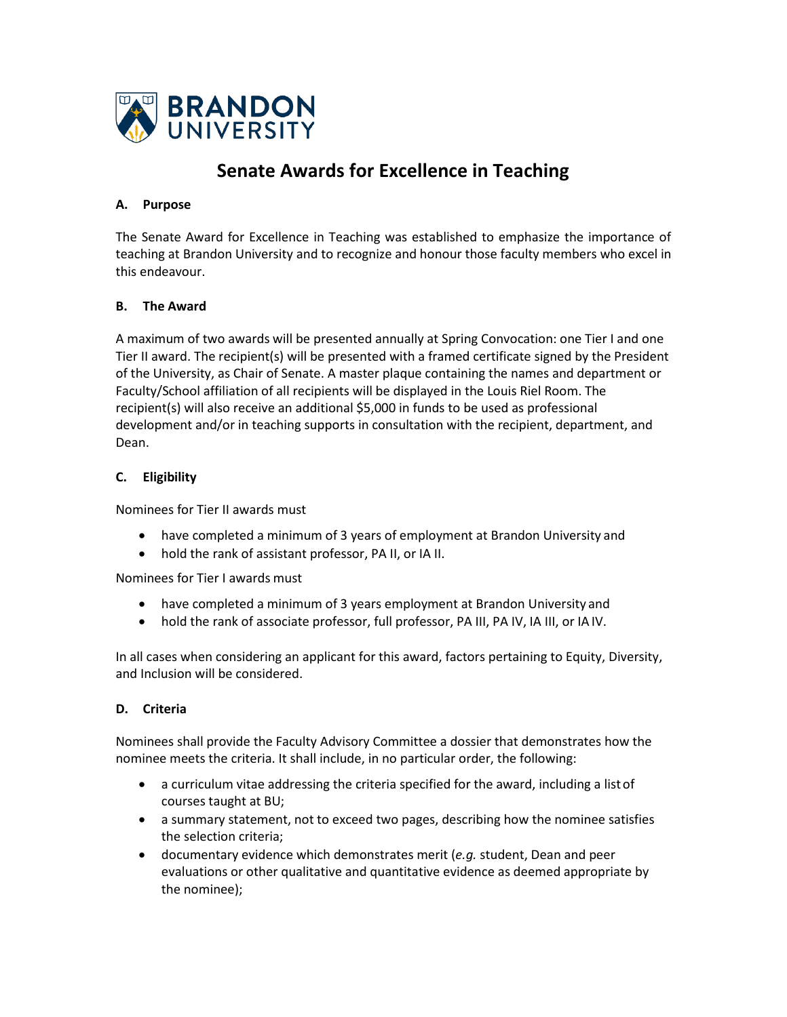

# **Senate Awards for Excellence in Teaching**

### **A. Purpose**

The Senate Award for Excellence in Teaching was established to emphasize the importance of teaching at Brandon University and to recognize and honour those faculty members who excel in this endeavour.

## **B. The Award**

A maximum of two awards will be presented annually at Spring Convocation: one Tier I and one Tier II award. The recipient(s) will be presented with a framed certificate signed by the President of the University, as Chair of Senate. A master plaque containing the names and department or Faculty/School affiliation of all recipients will be displayed in the Louis Riel Room. The recipient(s) will also receive an additional \$5,000 in funds to be used as professional development and/or in teaching supports in consultation with the recipient, department, and Dean.

## **C. Eligibility**

Nominees for Tier II awards must

- have completed a minimum of 3 years of employment at Brandon University and
- hold the rank of assistant professor, PA II, or IA II.

Nominees for Tier I awards must

- have completed a minimum of 3 years employment at Brandon University and
- hold the rank of associate professor, full professor, PA III, PA IV, IA III, or IAIV.

In all cases when considering an applicant for this award, factors pertaining to Equity, Diversity, and Inclusion will be considered.

## **D. Criteria**

Nominees shall provide the Faculty Advisory Committee a dossier that demonstrates how the nominee meets the criteria. It shall include, in no particular order, the following:

- a curriculum vitae addressing the criteria specified for the award, including a listof courses taught at BU;
- a summary statement, not to exceed two pages, describing how the nominee satisfies the selection criteria;
- documentary evidence which demonstrates merit (*e.g.* student, Dean and peer evaluations or other qualitative and quantitative evidence as deemed appropriate by the nominee);